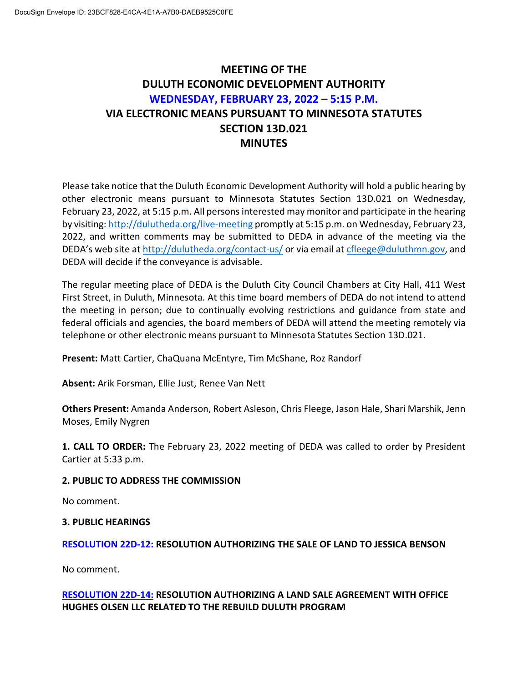# **MEETING OF THE DULUTH ECONOMIC DEVELOPMENT AUTHORITY WEDNESDAY, FEBRUARY 23, 2022 – 5:15 P.M. VIA ELECTRONIC MEANS PURSUANT TO MINNESOTA STATUTES SECTION 13D.021 MINUTES**

Please take notice that the Duluth Economic Development Authority will hold a public hearing by other electronic means pursuant to Minnesota Statutes Section 13D.021 on Wednesday, February 23, 2022, at 5:15 p.m. All persons interested may monitor and participate in the hearing by visiting: <http://dulutheda.org/live-meeting> promptly at 5:15 p.m. on Wednesday, February 23, 2022, and written comments may be submitted to DEDA in advance of the meeting via the DEDA's web site a[t http://dulutheda.org/contact-us/](http://dulutheda.org/contact-us/) or via email at [cfleege@duluthmn.gov,](mailto:cfleege@duluthmn.gov) and DEDA will decide if the conveyance is advisable.

The regular meeting place of DEDA is the Duluth City Council Chambers at City Hall, 411 West First Street, in Duluth, Minnesota. At this time board members of DEDA do not intend to attend the meeting in person; due to continually evolving restrictions and guidance from state and federal officials and agencies, the board members of DEDA will attend the meeting remotely via telephone or other electronic means pursuant to Minnesota Statutes Section 13D.021.

**Present:** Matt Cartier, ChaQuana McEntyre, Tim McShane, Roz Randorf

**Absent:** Arik Forsman, Ellie Just, Renee Van Nett

**Others Present:** Amanda Anderson, Robert Asleson, Chris Fleege, Jason Hale, Shari Marshik, Jenn Moses, Emily Nygren

**1. CALL TO ORDER:** The February 23, 2022 meeting of DEDA was called to order by President Cartier at 5:33 p.m.

# **2. PUBLIC TO ADDRESS THE COMMISSION**

No comment.

# **3. PUBLIC HEARINGS**

# **RESOLUTION 22D-12: RESOLUTION AUTHORIZING THE SALE OF LAND TO JESSICA BENSON**

No comment.

# **RESOLUTION 22D-14: RESOLUTION AUTHORIZING A LAND SALE AGREEMENT WITH OFFICE HUGHES OLSEN LLC RELATED TO THE REBUILD DULUTH PROGRAM**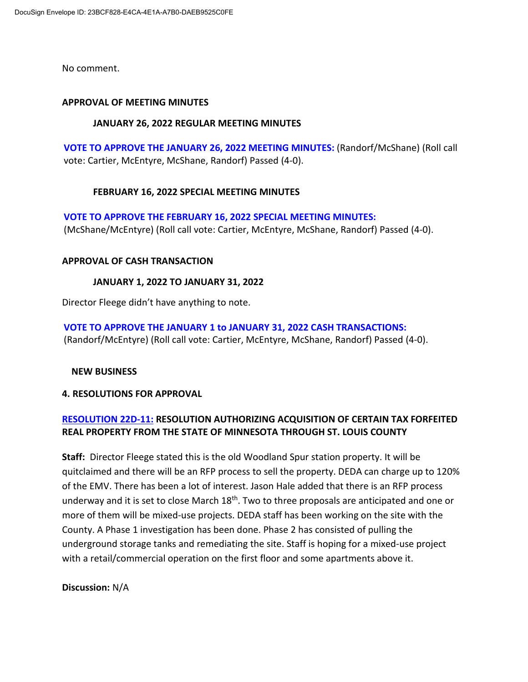No comment.

### **APPROVAL OF MEETING MINUTES**

### **JANUARY 26, 2022 REGULAR MEETING MINUTES**

**VOTE TO APPROVE THE JANUARY 26, 2022 MEETING MINUTES:** (Randorf/McShane) (Roll call vote: Cartier, McEntyre, McShane, Randorf) Passed (4-0).

# **FEBRUARY 16, 2022 SPECIAL MEETING MINUTES**

**VOTE TO APPROVE THE FEBRUARY 16, 2022 SPECIAL MEETING MINUTES:**  (McShane/McEntyre) (Roll call vote: Cartier, McEntyre, McShane, Randorf) Passed (4-0).

### **APPROVAL OF CASH TRANSACTION**

# **JANUARY 1, 2022 TO JANUARY 31, 2022**

Director Fleege didn't have anything to note.

**VOTE TO APPROVE THE JANUARY 1 to JANUARY 31, 2022 CASH TRANSACTIONS:**  (Randorf/McEntyre) (Roll call vote: Cartier, McEntyre, McShane, Randorf) Passed (4-0).

# **NEW BUSINESS**

#### **4. RESOLUTIONS FOR APPROVAL**

# **RESOLUTION 22D-11: RESOLUTION AUTHORIZING ACQUISITION OF CERTAIN TAX FORFEITED REAL PROPERTY FROM THE STATE OF MINNESOTA THROUGH ST. LOUIS COUNTY**

**Staff:** Director Fleege stated this is the old Woodland Spur station property. It will be quitclaimed and there will be an RFP process to sell the property. DEDA can charge up to 120% of the EMV. There has been a lot of interest. Jason Hale added that there is an RFP process underway and it is set to close March 18<sup>th</sup>. Two to three proposals are anticipated and one or more of them will be mixed-use projects. DEDA staff has been working on the site with the County. A Phase 1 investigation has been done. Phase 2 has consisted of pulling the underground storage tanks and remediating the site. Staff is hoping for a mixed-use project with a retail/commercial operation on the first floor and some apartments above it.

# **Discussion:** N/A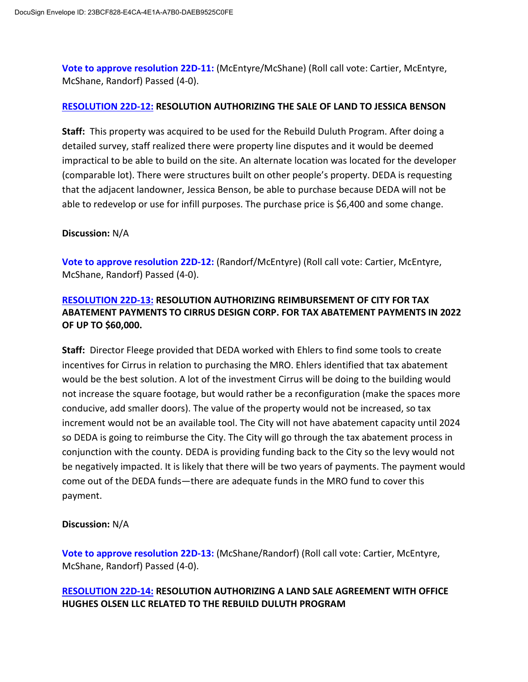**Vote to approve resolution 22D-11:** (McEntyre/McShane) (Roll call vote: Cartier, McEntyre, McShane, Randorf) Passed (4-0).

# **RESOLUTION 22D-12: RESOLUTION AUTHORIZING THE SALE OF LAND TO JESSICA BENSON**

**Staff:** This property was acquired to be used for the Rebuild Duluth Program. After doing a detailed survey, staff realized there were property line disputes and it would be deemed impractical to be able to build on the site. An alternate location was located for the developer (comparable lot). There were structures built on other people's property. DEDA is requesting that the adjacent landowner, Jessica Benson, be able to purchase because DEDA will not be able to redevelop or use for infill purposes. The purchase price is \$6,400 and some change.

# **Discussion:** N/A

**Vote to approve resolution 22D-12:** (Randorf/McEntyre) (Roll call vote: Cartier, McEntyre, McShane, Randorf) Passed (4-0).

# **RESOLUTION 22D-13: RESOLUTION AUTHORIZING REIMBURSEMENT OF CITY FOR TAX ABATEMENT PAYMENTS TO CIRRUS DESIGN CORP. FOR TAX ABATEMENT PAYMENTS IN 2022 OF UP TO \$60,000.**

**Staff:** Director Fleege provided that DEDA worked with Ehlers to find some tools to create incentives for Cirrus in relation to purchasing the MRO. Ehlers identified that tax abatement would be the best solution. A lot of the investment Cirrus will be doing to the building would not increase the square footage, but would rather be a reconfiguration (make the spaces more conducive, add smaller doors). The value of the property would not be increased, so tax increment would not be an available tool. The City will not have abatement capacity until 2024 so DEDA is going to reimburse the City. The City will go through the tax abatement process in conjunction with the county. DEDA is providing funding back to the City so the levy would not be negatively impacted. It is likely that there will be two years of payments. The payment would come out of the DEDA funds—there are adequate funds in the MRO fund to cover this payment.

# **Discussion:** N/A

**Vote to approve resolution 22D-13:** (McShane/Randorf) (Roll call vote: Cartier, McEntyre, McShane, Randorf) Passed (4-0).

# **RESOLUTION 22D-14: RESOLUTION AUTHORIZING A LAND SALE AGREEMENT WITH OFFICE HUGHES OLSEN LLC RELATED TO THE REBUILD DULUTH PROGRAM**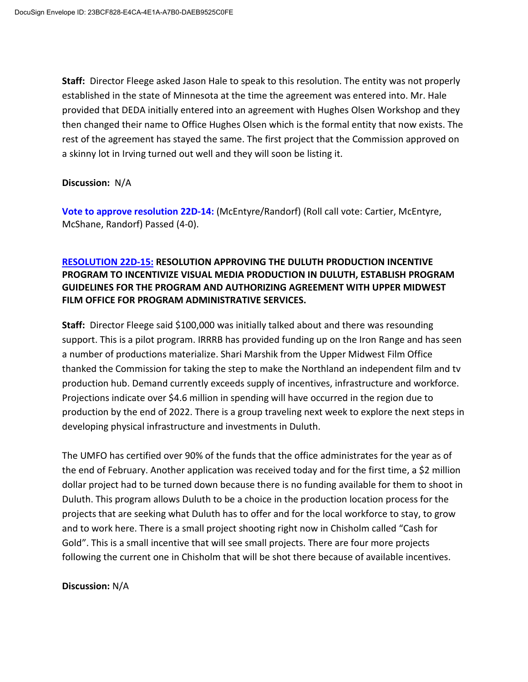**Staff:** Director Fleege asked Jason Hale to speak to this resolution. The entity was not properly established in the state of Minnesota at the time the agreement was entered into. Mr. Hale provided that DEDA initially entered into an agreement with Hughes Olsen Workshop and they then changed their name to Office Hughes Olsen which is the formal entity that now exists. The rest of the agreement has stayed the same. The first project that the Commission approved on a skinny lot in Irving turned out well and they will soon be listing it.

**Discussion:** N/A

**Vote to approve resolution 22D-14:** (McEntyre/Randorf) (Roll call vote: Cartier, McEntyre, McShane, Randorf) Passed (4-0).

# **RESOLUTION 22D-15: RESOLUTION APPROVING THE DULUTH PRODUCTION INCENTIVE PROGRAM TO INCENTIVIZE VISUAL MEDIA PRODUCTION IN DULUTH, ESTABLISH PROGRAM GUIDELINES FOR THE PROGRAM AND AUTHORIZING AGREEMENT WITH UPPER MIDWEST FILM OFFICE FOR PROGRAM ADMINISTRATIVE SERVICES.**

**Staff:** Director Fleege said \$100,000 was initially talked about and there was resounding support. This is a pilot program. IRRRB has provided funding up on the Iron Range and has seen a number of productions materialize. Shari Marshik from the Upper Midwest Film Office thanked the Commission for taking the step to make the Northland an independent film and tv production hub. Demand currently exceeds supply of incentives, infrastructure and workforce. Projections indicate over \$4.6 million in spending will have occurred in the region due to production by the end of 2022. There is a group traveling next week to explore the next steps in developing physical infrastructure and investments in Duluth.

The UMFO has certified over 90% of the funds that the office administrates for the year as of the end of February. Another application was received today and for the first time, a \$2 million dollar project had to be turned down because there is no funding available for them to shoot in Duluth. This program allows Duluth to be a choice in the production location process for the projects that are seeking what Duluth has to offer and for the local workforce to stay, to grow and to work here. There is a small project shooting right now in Chisholm called "Cash for Gold". This is a small incentive that will see small projects. There are four more projects following the current one in Chisholm that will be shot there because of available incentives.

**Discussion:** N/A